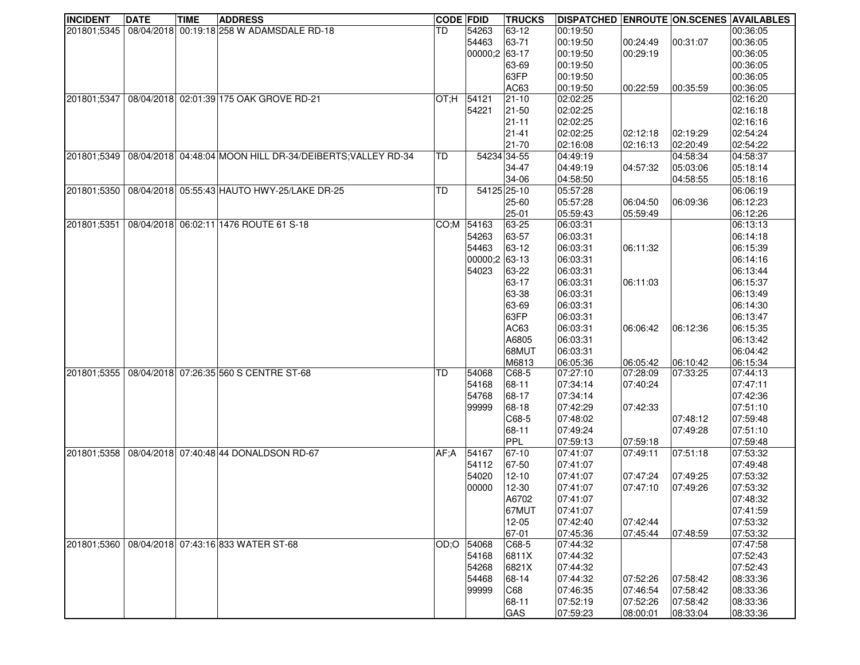| <b>INCIDENT</b> | <b>DATE</b> | <b>TIME</b> | <b>ADDRESS</b>                                                             | <b>CODE FDID</b> |               | <b>TRUCKS</b> | DISPATCHED ENROUTE ON SCENES AVAILABLES |          |          |          |
|-----------------|-------------|-------------|----------------------------------------------------------------------------|------------------|---------------|---------------|-----------------------------------------|----------|----------|----------|
| 201801;5345     |             |             | 08/04/2018 00:19:18 258 W ADAMSDALE RD-18                                  | TD               | 54263         | 63-12         | 00:19:50                                |          |          | 00:36:05 |
|                 |             |             |                                                                            |                  | 54463         | 63-71         | 00:19:50                                | 00:24:49 | 00:31:07 | 00:36:05 |
|                 |             |             |                                                                            |                  | 00000;2 63-17 |               | 00:19:50                                | 00:29:19 |          | 00:36:05 |
|                 |             |             |                                                                            |                  |               | 63-69         | 00:19:50                                |          |          | 00:36:05 |
|                 |             |             |                                                                            |                  |               | 63FP          | 00:19:50                                |          |          | 00:36:05 |
|                 |             |             |                                                                            |                  |               | AC63          | 00:19:50                                | 00:22:59 | 00:35:59 | 00:36:05 |
| 201801;5347     |             |             | 08/04/2018 02:01:39 175 OAK GROVE RD-21                                    | OT:H 54121       |               | $21 - 10$     | 02:02:25                                |          |          | 02:16:20 |
|                 |             |             |                                                                            |                  | 54221         | 21-50         | 02:02:25                                |          |          | 02:16:18 |
|                 |             |             |                                                                            |                  |               | $21 - 11$     | 02:02:25                                |          |          | 02:16:16 |
|                 |             |             |                                                                            |                  |               | $21 - 41$     | 02:02:25                                | 02:12:18 | 02:19:29 | 02:54:24 |
|                 |             |             |                                                                            |                  |               | 21-70         | 02:16:08                                | 02:16:13 | 02:20:49 | 02:54:22 |
|                 |             |             | 201801;5349   08/04/2018   04:48:04 MOON HILL DR-34/DEIBERTS; VALLEY RD-34 | ITD.             | 54234 34-55   |               | 04:49:19                                |          | 04:58:34 | 04:58:37 |
|                 |             |             |                                                                            |                  |               | 34-47         | 04:49:19                                | 04:57:32 | 05:03:06 | 05:18:14 |
|                 |             |             |                                                                            |                  |               | 34-06         | 04:58:50                                |          | 04:58:55 | 05:18:16 |
| 201801;5350     |             |             | 08/04/2018 05:55:43 HAUTO HWY-25/LAKE DR-25                                | <b>TD</b>        |               | 54125 25-10   | 05:57:28                                |          |          | 06:06:19 |
|                 |             |             |                                                                            |                  |               | 25-60         | 05:57:28                                | 06:04:50 | 06:09:36 | 06:12:23 |
|                 |             |             |                                                                            |                  |               | 25-01         | 05:59:43                                | 05:59:49 |          | 06:12:26 |
| 201801;5351     |             |             | 08/04/2018 06:02:11 1476 ROUTE 61 S-18                                     |                  | CO:M 54163    | 63-25         | 06:03:31                                |          |          | 06:13:13 |
|                 |             |             |                                                                            |                  | 54263         | 63-57         | 06:03:31                                |          |          | 06:14:18 |
|                 |             |             |                                                                            |                  | 54463         | 63-12         | 06:03:31                                | 06:11:32 |          | 06:15:39 |
|                 |             |             |                                                                            |                  | 00000;2 63-13 |               | 06:03:31                                |          |          | 06:14:16 |
|                 |             |             |                                                                            |                  | 54023         | 63-22         | 06:03:31                                |          |          | 06:13:44 |
|                 |             |             |                                                                            |                  |               | 63-17         | 06:03:31                                | 06:11:03 |          | 06:15:37 |
|                 |             |             |                                                                            |                  |               | 63-38         | 06:03:31                                |          |          | 06:13:49 |
|                 |             |             |                                                                            |                  |               | 63-69         | 06:03:31                                |          |          | 06:14:30 |
|                 |             |             |                                                                            |                  |               | 63FP          | 06:03:31                                |          |          | 06:13:47 |
|                 |             |             |                                                                            |                  |               | AC63          | 06:03:31                                | 06:06:42 | 06:12:36 | 06:15:35 |
|                 |             |             |                                                                            |                  |               | A6805         | 06:03:31                                |          |          | 06:13:42 |
|                 |             |             |                                                                            |                  |               | 68MUT         | 06:03:31                                |          |          | 06:04:42 |
|                 |             |             |                                                                            |                  |               | M6813         | 06:05:36                                | 06:05:42 | 06:10:42 | 06:15:34 |
| 201801;5355     |             |             | 08/04/2018 07:26:35 560 S CENTRE ST-68                                     | <b>TD</b>        | 54068         | $\big $ C68-5 | 07:27:10                                | 07:28:09 | 07:33:25 | 07:44:13 |
|                 |             |             |                                                                            |                  | 54168         | 68-11         | 07:34:14                                | 07:40:24 |          | 07:47:11 |
|                 |             |             |                                                                            |                  | 54768         | 68-17         | 07:34:14                                |          |          | 07:42:36 |
|                 |             |             |                                                                            |                  | 99999         | 68-18         | 07:42:29                                | 07:42:33 |          | 07:51:10 |
|                 |             |             |                                                                            |                  |               | C68-5         | 07:48:02                                |          | 07:48:12 | 07:59:48 |
|                 |             |             |                                                                            |                  |               | 68-11         | 07:49:24                                |          | 07:49:28 | 07:51:10 |
|                 |             |             |                                                                            |                  |               | PPL           | 07:59:13                                | 07:59:18 |          | 07:59:48 |
| 201801;5358     |             |             | 08/04/2018 07:40:48 44 DONALDSON RD-67                                     | AF:A             | 54167         | 67-10         | 07:41:07                                | 07:49:11 | 07:51:18 | 07:53:32 |
|                 |             |             |                                                                            |                  | 54112         | 67-50         | 07:41:07                                |          |          | 07:49:48 |
|                 |             |             |                                                                            |                  | 54020         | $12 - 10$     | 07:41:07                                | 07:47:24 | 07:49:25 | 07:53:32 |
|                 |             |             |                                                                            |                  | 00000         | 12-30         | 07:41:07                                | 07:47:10 | 07:49:26 | 07:53:32 |
|                 |             |             |                                                                            |                  |               | A6702         | 07:41:07                                |          |          | 07:48:32 |
|                 |             |             |                                                                            |                  |               | 67MUT         | 07:41:07                                |          |          | 07:41:59 |
|                 |             |             |                                                                            |                  |               | $12 - 05$     | 07:42:40                                | 07:42:44 |          | 07:53:32 |
|                 |             |             |                                                                            |                  |               | 67-01         | 07:45:36                                | 07:45:44 | 07:48:59 | 07:53:32 |
| 201801;5360     |             |             | 08/04/2018 07:43:16 833 WATER ST-68                                        | OD:OO            | 54068         | $CG8-5$       | 07:44:32                                |          |          | 07:47:58 |
|                 |             |             |                                                                            |                  | 54168         | 6811X         | 07:44:32                                |          |          | 07:52:43 |
|                 |             |             |                                                                            |                  | 54268         | 6821X         | 07:44:32                                |          |          | 07:52:43 |
|                 |             |             |                                                                            |                  | 54468         | 68-14         | 07:44:32                                | 07:52:26 | 07:58:42 | 08:33:36 |
|                 |             |             |                                                                            |                  | 99999         | C68           | 07:46:35                                | 07:46:54 | 07:58:42 | 08:33:36 |
|                 |             |             |                                                                            |                  |               | 68-11         | 07:52:19                                | 07:52:26 | 07:58:42 | 08:33:36 |
|                 |             |             |                                                                            |                  |               | GAS           | 07:59:23                                | 08:00:01 | 08:33:04 | 08:33:36 |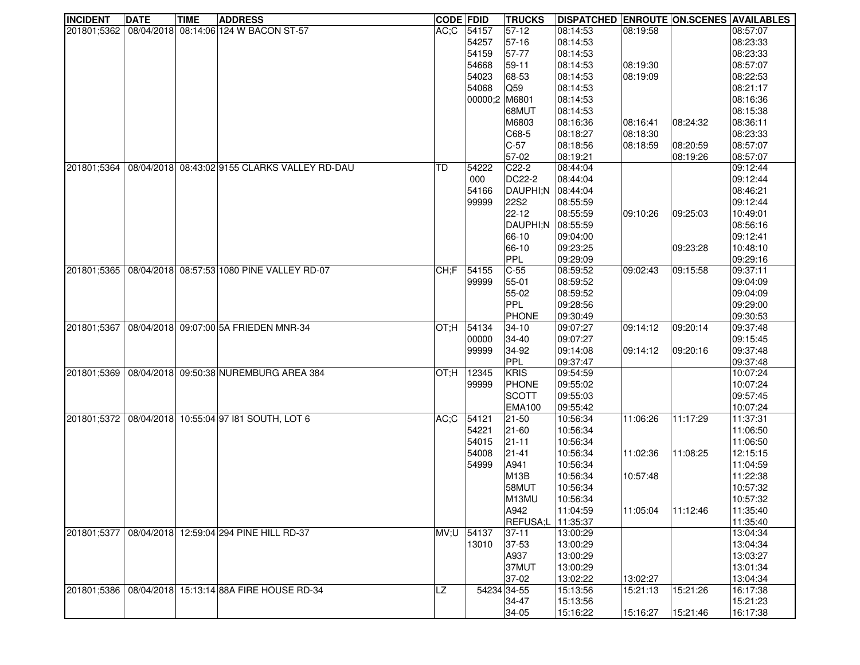| <b>INCIDENT</b> | <b>DATE</b> | <b>TIME</b> | <b>ADDRESS</b>                                | <b>CODE FDID</b> |               | <b>TRUCKS</b>           | <b>DISPATCHED ENROUTE ON.SCENES AVAILABLES</b> |          |          |          |
|-----------------|-------------|-------------|-----------------------------------------------|------------------|---------------|-------------------------|------------------------------------------------|----------|----------|----------|
| 201801;5362     |             |             | 08/04/2018 08:14:06 124 W BACON ST-57         | AC;C 54157       |               | 57-12                   | 08:14:53                                       | 08:19:58 |          | 08:57:07 |
|                 |             |             |                                               |                  | 54257         | 57-16                   | 08:14:53                                       |          |          | 08:23:33 |
|                 |             |             |                                               |                  | 54159         | 57-77                   | 08:14:53                                       |          |          | 08:23:33 |
|                 |             |             |                                               |                  | 54668         | 59-11                   | 08:14:53                                       | 08:19:30 |          | 08:57:07 |
|                 |             |             |                                               |                  | 54023         | 68-53                   | 08:14:53                                       | 08:19:09 |          | 08:22:53 |
|                 |             |             |                                               |                  | 54068         | $\overline{\text{Q59}}$ | 08:14:53                                       |          |          | 08:21:17 |
|                 |             |             |                                               |                  | 00000;2 M6801 |                         | 08:14:53                                       |          |          | 08:16:36 |
|                 |             |             |                                               |                  |               | 68MUT                   | 08:14:53                                       |          |          | 08:15:38 |
|                 |             |             |                                               |                  |               | M6803                   | 08:16:36                                       | 08:16:41 | 08:24:32 | 08:36:11 |
|                 |             |             |                                               |                  |               |                         | 08:18:27                                       |          |          | 08:23:33 |
|                 |             |             |                                               |                  |               | $CG8-5$                 |                                                | 08:18:30 |          |          |
|                 |             |             |                                               |                  |               | $C-57$                  | 08:18:56                                       | 08:18:59 | 08:20:59 | 08:57:07 |
|                 |             |             |                                               |                  |               | 57-02                   | 08:19:21                                       |          | 08:19:26 | 08:57:07 |
| 201801:5364     |             |             | 08/04/2018 08:43:02 9155 CLARKS VALLEY RD-DAU | TD               | 54222         | $C22-2$                 | 08:44:04                                       |          |          | 09:12:44 |
|                 |             |             |                                               |                  | 000           | DC22-2                  | 08:44:04                                       |          |          | 09:12:44 |
|                 |             |             |                                               |                  | 54166         | DAUPHI;N                | 08:44:04                                       |          |          | 08:46:21 |
|                 |             |             |                                               |                  | 99999         | 22S2                    | 08:55:59                                       |          |          | 09:12:44 |
|                 |             |             |                                               |                  |               | $22 - 12$               | 08:55:59                                       | 09:10:26 | 09:25:03 | 10:49:01 |
|                 |             |             |                                               |                  |               | DAUPHI:N                | 08:55:59                                       |          |          | 08:56:16 |
|                 |             |             |                                               |                  |               | 66-10                   | 09:04:00                                       |          |          | 09:12:41 |
|                 |             |             |                                               |                  |               | 66-10                   | 09:23:25                                       |          | 09:23:28 | 10:48:10 |
|                 |             |             |                                               |                  |               | PPL                     | 09:29:09                                       |          |          | 09:29:16 |
| 201801:5365     |             |             | 08/04/2018 08:57:53 1080 PINE VALLEY RD-07    | CH;F             | 54155         | $C-55$                  | 08:59:52                                       | 09:02:43 | 09:15:58 | 09:37:11 |
|                 |             |             |                                               |                  | 99999         | 55-01                   | 08:59:52                                       |          |          | 09:04:09 |
|                 |             |             |                                               |                  |               | 55-02                   | 08:59:52                                       |          |          | 09:04:09 |
|                 |             |             |                                               |                  |               | PPL                     | 09:28:56                                       |          |          | 09:29:00 |
|                 |             |             |                                               |                  |               | <b>PHONE</b>            | 09:30:49                                       |          |          | 09:30:53 |
| 201801;5367     |             |             | 08/04/2018 09:07:00 5A FRIEDEN MNR-34         | $OT; H$ 54134    |               | $34 - 10$               | 09:07:27                                       | 09:14:12 | 09:20:14 | 09:37:48 |
|                 |             |             |                                               |                  | 00000         | 34-40                   | 09:07:27                                       |          |          | 09:15:45 |
|                 |             |             |                                               |                  | 99999         | 34-92                   | 09:14:08                                       | 09:14:12 | 09:20:16 | 09:37:48 |
|                 |             |             |                                               |                  |               | PPL                     | 09:37:47                                       |          |          | 09:37:48 |
|                 |             |             |                                               |                  |               |                         |                                                |          |          |          |
| 201801;5369     |             |             | 08/04/2018 09:50:38 NUREMBURG AREA 384        | H:TO             | 12345         | KRIS                    | 09:54:59                                       |          |          | 10:07:24 |
|                 |             |             |                                               |                  | 99999         | PHONE                   | 09:55:02                                       |          |          | 10:07:24 |
|                 |             |             |                                               |                  |               | SCOTT                   | 09:55:03                                       |          |          | 09:57:45 |
|                 |             |             |                                               |                  |               | <b>EMA100</b>           | 09:55:42                                       |          |          | 10:07:24 |
| 201801;5372     |             |             | 08/04/2018 10:55:04 97 181 SOUTH, LOT 6       | AC;C             | 54121         | 21-50                   | 10:56:34                                       | 11:06:26 | 11:17:29 | 11:37:31 |
|                 |             |             |                                               |                  | 54221         | $21 - 60$               | 10:56:34                                       |          |          | 11:06:50 |
|                 |             |             |                                               |                  | 54015         | $21 - 11$               | 10:56:34                                       |          |          | 11:06:50 |
|                 |             |             |                                               |                  | 54008         | $21 - 41$               | 10:56:34                                       | 11:02:36 | 11:08:25 | 12:15:15 |
|                 |             |             |                                               |                  | 54999         | A941                    | 10:56:34                                       |          |          | 11:04:59 |
|                 |             |             |                                               |                  |               | <b>M13B</b>             | 10:56:34                                       | 10:57:48 |          | 11:22:38 |
|                 |             |             |                                               |                  |               | 58MUT                   | 10:56:34                                       |          |          | 10:57:32 |
|                 |             |             |                                               |                  |               | M <sub>13MU</sub>       | 10:56:34                                       |          |          | 10:57:32 |
|                 |             |             |                                               |                  |               | A942                    | 11:04:59                                       | 11:05:04 | 11:12:46 | 11:35:40 |
|                 |             |             |                                               |                  |               | REFUSA;L                | 11:35:37                                       |          |          | 11:35:40 |
| 201801;5377     |             |             | 08/04/2018 12:59:04 294 PINE HILL RD-37       | MV;U             | 54137         | $37-11$                 | 13:00:29                                       |          |          | 13:04:34 |
|                 |             |             |                                               |                  | 13010         | 37-53                   | 13:00:29                                       |          |          | 13:04:34 |
|                 |             |             |                                               |                  |               | A937                    | 13:00:29                                       |          |          | 13:03:27 |
|                 |             |             |                                               |                  |               | 37MUT                   | 13:00:29                                       |          |          | 13:01:34 |
|                 |             |             |                                               |                  |               | 37-02                   | 13:02:22                                       | 13:02:27 |          | 13:04:34 |
| 201801;5386     |             |             | 08/04/2018 15:13:14 88A FIRE HOUSE RD-34      | LZ               | 54234 34-55   |                         | 15:13:56                                       | 15:21:13 | 15:21:26 | 16:17:38 |
|                 |             |             |                                               |                  |               | 34-47                   | 15:13:56                                       |          |          | 15:21:23 |
|                 |             |             |                                               |                  |               |                         |                                                |          |          |          |
|                 |             |             |                                               |                  |               | 34-05                   | 15:16:22                                       | 15:16:27 | 15:21:46 | 16:17:38 |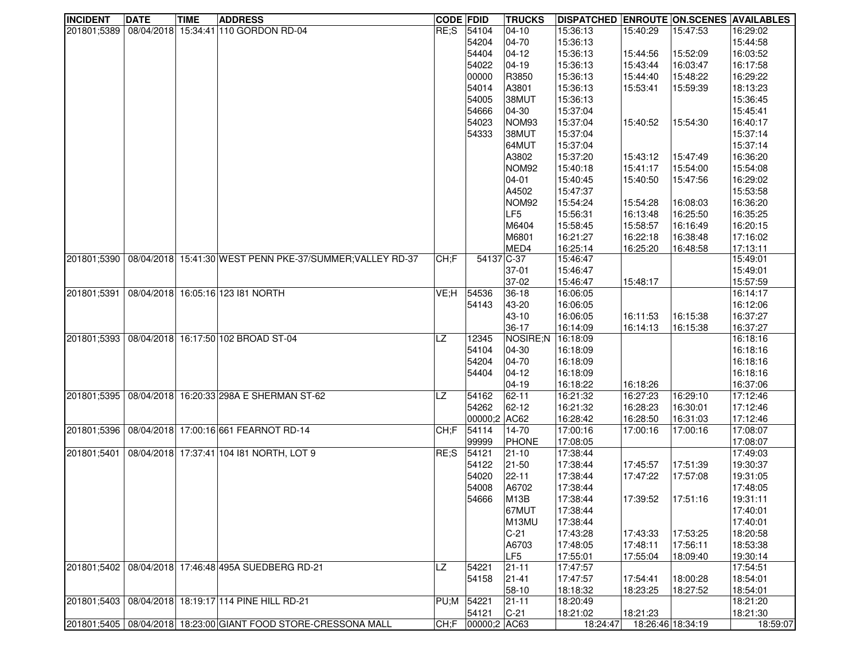| <b>INCIDENT</b> | <b>DATE</b> | <b>TIME</b> | <b>ADDRESS</b>                                            | <b>CODE FDID</b> |              | <b>TRUCKS</b>     | <b>DISPATCHED ENROUTE ON.SCENES AVAILABLES</b> |                   |          |          |
|-----------------|-------------|-------------|-----------------------------------------------------------|------------------|--------------|-------------------|------------------------------------------------|-------------------|----------|----------|
| 201801;5389     |             |             | 08/04/2018 15:34:41 110 GORDON RD-04                      | RE;S             | 54104        | $ 04 - 10 $       | 15:36:13                                       | 15:40:29          | 15:47:53 | 16:29:02 |
|                 |             |             |                                                           |                  | 54204        | $04 - 70$         | 15:36:13                                       |                   |          | 15:44:58 |
|                 |             |             |                                                           |                  | 54404        | $04-12$           | 15:36:13                                       | 15:44:56          | 15:52:09 | 16:03:52 |
|                 |             |             |                                                           |                  | 54022        | $04-19$           | 15:36:13                                       | 15:43:44          | 16:03:47 | 16:17:58 |
|                 |             |             |                                                           |                  | 00000        | R3850             | 15:36:13                                       | 15:44:40          | 15:48:22 | 16:29:22 |
|                 |             |             |                                                           |                  | 54014        | A3801             | 15:36:13                                       | 15:53:41          | 15:59:39 | 18:13:23 |
|                 |             |             |                                                           |                  | 54005        | 38MUT             | 15:36:13                                       |                   |          | 15:36:45 |
|                 |             |             |                                                           |                  | 54666        | $04-30$           | 15:37:04                                       |                   |          | 15:45:41 |
|                 |             |             |                                                           |                  | 54023        | NOM93             | 15:37:04                                       | 15:40:52          | 15:54:30 | 16:40:17 |
|                 |             |             |                                                           |                  | 54333        | 38MUT             | 15:37:04                                       |                   |          | 15:37:14 |
|                 |             |             |                                                           |                  |              | 64MUT             | 15:37:04                                       |                   |          | 15:37:14 |
|                 |             |             |                                                           |                  |              | A3802             | 15:37:20                                       | 15:43:12          | 15:47:49 | 16:36:20 |
|                 |             |             |                                                           |                  |              | NOM <sub>92</sub> | 15:40:18                                       | 15:41:17          | 15:54:00 | 15:54:08 |
|                 |             |             |                                                           |                  |              | $ 04 - 01 $       | 15:40:45                                       | 15:40:50          | 15:47:56 | 16:29:02 |
|                 |             |             |                                                           |                  |              | A4502             | 15:47:37                                       |                   |          | 15:53:58 |
|                 |             |             |                                                           |                  |              | NOM <sub>92</sub> | 15:54:24                                       | 15:54:28          | 16:08:03 | 16:36:20 |
|                 |             |             |                                                           |                  |              | LF <sub>5</sub>   | 15:56:31                                       | 16:13:48          | 16:25:50 | 16:35:25 |
|                 |             |             |                                                           |                  |              | M6404             | 15:58:45                                       | 15:58:57          | 16:16:49 | 16:20:15 |
|                 |             |             |                                                           |                  |              | M6801             | 16:21:27                                       | 16:22:18          | 16:38:48 | 17:16:02 |
|                 |             |             |                                                           |                  |              | MED4              | 16:25:14                                       | 16:25:20          | 16:48:58 | 17:13:11 |
| 201801;5390     |             |             | 08/04/2018 15:41:30 WEST PENN PKE-37/SUMMER; VALLEY RD-37 | CH;F             | 54137 C-37   |                   | 15:46:47                                       |                   |          | 15:49:01 |
|                 |             |             |                                                           |                  |              | $37-01$           | 15:46:47                                       |                   |          | 15:49:01 |
|                 |             |             |                                                           |                  |              | 37-02             | 15:46:47                                       | 15:48:17          |          | 15:57:59 |
| 201801;5391     |             |             | 08/04/2018 16:05:16 123 181 NORTH                         | VE;H             | 54536        | $36 - 18$         | 16:06:05                                       |                   |          | 16:14:17 |
|                 |             |             |                                                           |                  | 54143        | 43-20             | 16:06:05                                       |                   |          | 16:12:06 |
|                 |             |             |                                                           |                  |              | 43-10             | 16:06:05                                       | 16:11:53          | 16:15:38 | 16:37:27 |
|                 |             |             |                                                           |                  |              | $36-17$           | 16:14:09                                       | 16:14:13          | 16:15:38 | 16:37:27 |
|                 |             |             | 201801;5393 08/04/2018 16:17:50 102 BROAD ST-04           | LZ               | 12345        | NOSIRE;N          | 16:18:09                                       |                   |          | 16:18:16 |
|                 |             |             |                                                           |                  | 54104        | $04-30$           | 16:18:09                                       |                   |          | 16:18:16 |
|                 |             |             |                                                           |                  | 54204        | 04-70             | 16:18:09                                       |                   |          | 16:18:16 |
|                 |             |             |                                                           |                  | 54404        | $04-12$           | 16:18:09                                       |                   |          | 16:18:16 |
|                 |             |             |                                                           |                  |              | $ 04 - 19$        | 16:18:22                                       | 16:18:26          |          | 16:37:06 |
| 201801:5395     |             |             | 08/04/2018 16:20:33 298A E SHERMAN ST-62                  | LZ               | 54162        | $62 - 11$         | 16:21:32                                       | 16:27:23          | 16:29:10 | 17:12:46 |
|                 |             |             |                                                           |                  | 54262        | $62 - 12$         | 16:21:32                                       | 16:28:23          | 16:30:01 | 17:12:46 |
|                 |             |             |                                                           |                  | 00000;2 AC62 |                   | 16:28:42                                       | 16:28:50          | 16:31:03 | 17:12:46 |
| 201801;5396     |             |             | 08/04/2018 17:00:16 661 FEARNOT RD-14                     | CH;F             | 54114        | 14-70             | 17:00:16                                       | 17:00:16          | 17:00:16 | 17:08:07 |
|                 |             |             |                                                           |                  | 99999        | <b>PHONE</b>      | 17:08:05                                       |                   |          | 17:08:07 |
| 201801;5401     |             |             | 08/04/2018 17:37:41 104 181 NORTH, LOT 9                  | RE;S             | 54121        | 21-10             | 17:38:44                                       |                   |          | 17:49:03 |
|                 |             |             |                                                           |                  | 54122        | 21-50             | 17:38:44                                       | 17:45:57          | 17:51:39 | 19:30:37 |
|                 |             |             |                                                           |                  | 54020        | 22-11             | 17:38:44                                       | 17:47:22          | 17:57:08 | 19:31:05 |
|                 |             |             |                                                           |                  | 54008        | A6702             | 17:38:44                                       |                   |          | 17:48:05 |
|                 |             |             |                                                           |                  | 54666        | <b>M13B</b>       | 17:38:44                                       | 17:39:52          | 17:51:16 | 19:31:11 |
|                 |             |             |                                                           |                  |              | 67MUT             | 17:38:44                                       |                   |          | 17:40:01 |
|                 |             |             |                                                           |                  |              | M13MU             | 17:38:44                                       |                   |          | 17:40:01 |
|                 |             |             |                                                           |                  |              | $C-21$            | 17:43:28                                       | 17:43:33          | 17:53:25 | 18:20:58 |
|                 |             |             |                                                           |                  |              | A6703             | 17:48:05                                       | 17:48:11          | 17:56:11 | 18:53:38 |
|                 |             |             |                                                           |                  |              | LF5               | 17:55:01                                       | 17:55:04          | 18:09:40 | 19:30:14 |
| 201801;5402     |             |             | 08/04/2018 17:46:48 495A SUEDBERG RD-21                   | <b>LZ</b>        | 54221        | $21 - 11$         | 17:47:57                                       |                   |          | 17:54:51 |
|                 |             |             |                                                           |                  | 54158        | $21 - 41$         | 17:47:57                                       | 17:54:41          | 18:00:28 | 18:54:01 |
|                 |             |             |                                                           |                  |              | 58-10             | 18:18:32                                       | 18:23:25          | 18:27:52 | 18:54:01 |
| 201801;5403     |             |             | 08/04/2018 18:19:17 114 PINE HILL RD-21                   | PU;M 54221       |              | $21 - 11$         | 18:20:49                                       |                   |          | 18:21:20 |
|                 |             |             |                                                           |                  | 54121        | $C-21$            | 18:21:02                                       | 18:21:23          |          | 18:21:30 |
| 201801;5405     |             |             | 08/04/2018 18:23:00 GIANT FOOD STORE-CRESSONA MALL        | CH;F             | 00000;2 AC63 |                   | 18:24:47                                       | 18:26:46 18:34:19 |          | 18:59:07 |